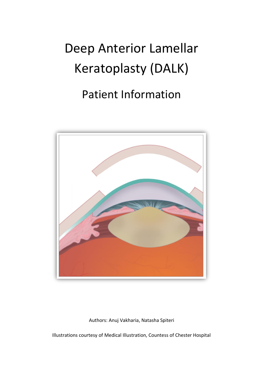# Deep Anterior Lamellar Keratoplasty (DALK)

# Patient Information



Authors: Anuj Vakharia, Natasha Spiteri

Illustrations courtesy of Medical Illustration, Countess of Chester Hospital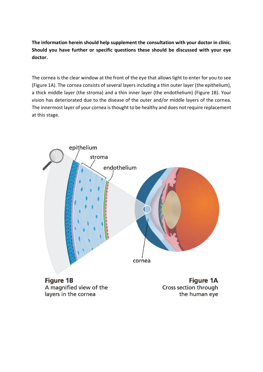**The information herein should help supplement the consultation with your doctor in clinic. Should you have further or specific questions these should be discussed with your eye doctor.**

The cornea is the clear window at the front of the eye that allows light to enter for you to see (Figure 1A). The cornea consists of several layers including a thin outer layer (the epithelium), a thick middle layer (the stroma) and a thin inner layer (the endothelium) (Figure 1B). Your vision has deteriorated due to the disease of the outer and/or middle layers of the cornea. The innermost layer of your cornea is thought to be healthy and does not require replacement at this stage.



**Figure 1B** A magnified view of the layers in the cornea

**Figure 1A** Cross section through the human eye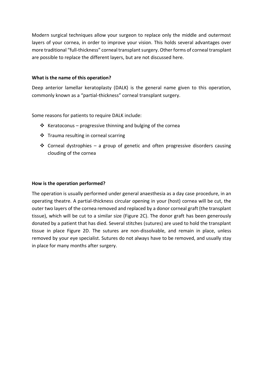Modern surgical techniques allow your surgeon to replace only the middle and outermost layers of your cornea, in order to improve your vision. This holds several advantages over more traditional "full-thickness" corneal transplant surgery. Other forms of corneal transplant are possible to replace the different layers, but are not discussed here.

#### **What is the name of this operation?**

Deep anterior lamellar keratoplasty (DALK) is the general name given to this operation, commonly known as a "partial-thickness" corneal transplant surgery.

Some reasons for patients to require DALK include:

- ❖ Keratoconus progressive thinning and bulging of the cornea
- ❖ Trauma resulting in corneal scarring
- **❖** Corneal dystrophies a group of genetic and often progressive disorders causing clouding of the cornea

#### **How is the operation performed?**

The operation is usually performed under general anaesthesia as a day case procedure, in an operating theatre. A partial-thickness circular opening in your (host) cornea will be cut, the outer two layers of the cornea removed and replaced by a donor corneal graft (the transplant tissue), which will be cut to a similar size (Figure 2C). The donor graft has been generously donated by a patient that has died. Several stitches (sutures) are used to hold the transplant tissue in place Figure 2D. The sutures are non-dissolvable, and remain in place, unless removed by your eye specialist. Sutures do not always have to be removed, and usually stay in place for many months after surgery.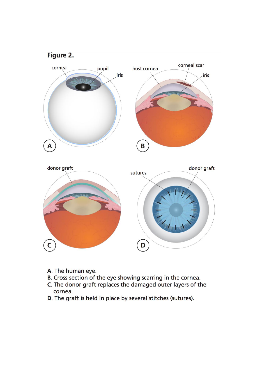

- A. The human eye.
- B. Cross-section of the eye showing scarring in the cornea.
- C. The donor graft replaces the damaged outer layers of the cornea.
- D. The graft is held in place by several stitches (sutures).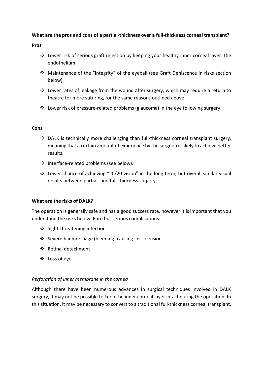# **What are the pros and cons of a partial-thickness over a full-thickness corneal transplant?**

**Pros** 

- ❖ Lower risk of serious graft rejection by keeping your healthy inner corneal layer: the endothelium.
- ❖ Maintenance of the "integrity" of the eyeball (see Graft Dehiscence in risks section below)
- ❖ Lower rates of leakage from the wound after surgery, which may require a return to theatre for more suturing, for the same reasons outlined above.
- $\div$  Lower risk of pressure-related problems (glaucoma) in the eye following surgery.

# **Cons**

- $\div$  DALK is technically more challenging than full-thickness corneal transplant surgery, meaning that a certain amount of experience by the surgeon is likely to achieve better results.
- ❖ Interface-related problems (see below).
- ❖ Lower chance of achieving "20/20 vision" in the long term, but overall similar visual results between partial- and full-thickness surgery.

# **What are the risks of DALK?**

The operation is generally safe and has a good success rate, however it is important that you understand the risks below. Rare but serious complications:

- ❖ Sight-threatening infection
- ❖ Severe haemorrhage (bleeding) causing loss of vision
- ❖ Retinal detachment
- ❖ Loss of eye

# *Perforation of inner membrane in the cornea*

Although there have been numerous advances in surgical techniques involved in DALK surgery, it may not be possible to keep the inner corneal layer intact during the operation. In this situation, it may be necessary to convert to a traditional full-thickness corneal transplant.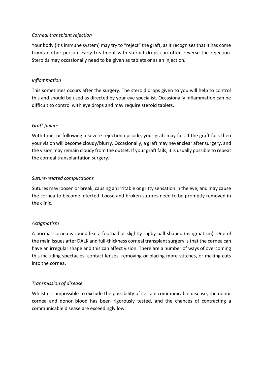# *Corneal transplant rejection*

Your body (it's immune system) may try to "reject" the graft, as it recognises that it has come from another person. Early treatment with steroid drops can often reverse the rejection. Steroids may occasionally need to be given as tablets or as an injection.

# *Inflammation*

This sometimes occurs after the surgery. The steroid drops given to you will help to control this and should be used as directed by your eye specialist. Occasionally inflammation can be difficult to control with eye drops and may require steroid tablets.

# *Graft failure*

With time, or following a severe rejection episode, your graft may fail. If the graft fails then your vision will become cloudy/blurry. Occasionally, a graft may never clear after surgery, and the vision may remain cloudy from the outset. If your graft fails, it is usually possible to repeat the corneal transplantation surgery.

#### *Suture-related complications*

Sutures may loosen or break, causing an irritable or gritty sensation in the eye, and may cause the cornea to become infected. Loose and broken sutures need to be promptly removed in the clinic.

#### *Astigmatism*

A normal cornea is round like a football or slightly rugby ball-shaped (astigmatism). One of the main issues after DALK and full-thickness corneal transplant surgery is that the cornea can have an irregular shape and this can affect vision. There are a number of ways of overcoming this including spectacles, contact lenses, removing or placing more stitches, or making cuts into the cornea.

# *Transmission of disease*

Whilst it is impossible to exclude the possibility of certain communicable disease, the donor cornea and donor blood has been rigorously tested, and the chances of contracting a communicable disease are exceedingly low.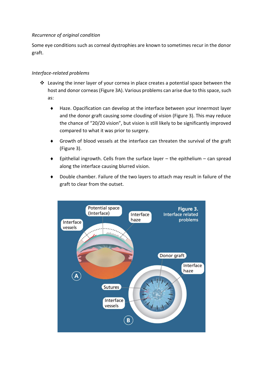# *Recurrence of original condition*

Some eye conditions such as corneal dystrophies are known to sometimes recur in the donor graft.

# *Interface-related problems*

- $\dots$  Leaving the inner layer of your cornea in place creates a potential space between the host and donor corneas (Figure 3A). Various problems can arise due to this space, such as:
	- Haze. Opacification can develop at the interface between your innermost layer and the donor graft causing some clouding of vision (Figure 3). This may reduce the chance of "20/20 vision", but vision is still likely to be significantly improved compared to what it was prior to surgery.
	- Growth of blood vessels at the interface can threaten the survival of the graft (Figure 3).
	- Epithelial ingrowth. Cells from the surface layer  $-$  the epithelium  $-$  can spread along the interface causing blurred vision.
	- Double chamber. Failure of the two layers to attach may result in failure of the graft to clear from the outset.

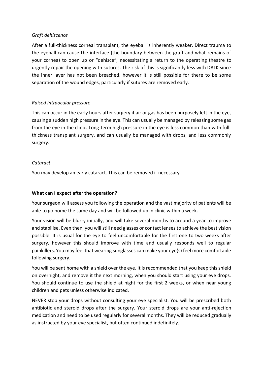#### *Graft dehiscence*

After a full-thickness corneal transplant, the eyeball is inherently weaker. Direct trauma to the eyeball can cause the interface (the boundary between the graft and what remains of your cornea) to open up or "dehisce", necessitating a return to the operating theatre to urgently repair the opening with sutures. The risk of this is significantly less with DALK since the inner layer has not been breached, however it is still possible for there to be some separation of the wound edges, particularly if sutures are removed early.

# *Raised intraocular pressure*

This can occur in the early hours after surgery if air or gas has been purposely left in the eye, causing a sudden high pressure in the eye. This can usually be managed by releasing some gas from the eye in the clinic. Long-term high pressure in the eye is less common than with fullthickness transplant surgery, and can usually be managed with drops, and less commonly surgery.

#### *Cataract*

You may develop an early cataract. This can be removed if necessary.

# **What can I expect after the operation?**

Your surgeon will assess you following the operation and the vast majority of patients will be able to go home the same day and will be followed up in clinic within a week.

Your vision will be blurry initially, and will take several months to around a year to improve and stabilise. Even then, you will still need glasses or contact lenses to achieve the best vision possible. It is usual for the eye to feel uncomfortable for the first one to two weeks after surgery, however this should improve with time and usually responds well to regular painkillers. You may feel that wearing sunglasses can make your eye(s) feel more comfortable following surgery.

You will be sent home with a shield over the eye. It is recommended that you keep this shield on overnight, and remove it the next morning, when you should start using your eye drops. You should continue to use the shield at night for the first 2 weeks, or when near young children and pets unless otherwise indicated.

NEVER stop your drops without consulting your eye specialist. You will be prescribed both antibiotic and steroid drops after the surgery. Your steroid drops are your anti-rejection medication and need to be used regularly for several months. They will be reduced gradually as instructed by your eye specialist, but often continued indefinitely.